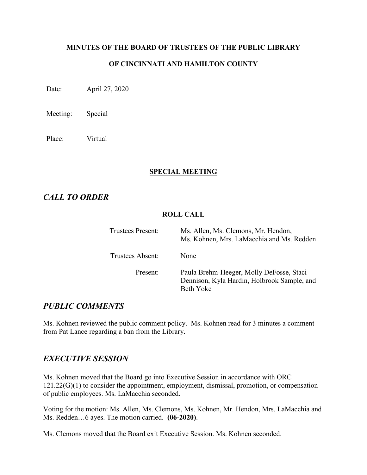#### **MINUTES OF THE BOARD OF TRUSTEES OF THE PUBLIC LIBRARY**

## **OF CINCINNATI AND HAMILTON COUNTY**

Date: April 27, 2020

Meeting: Special

Place: Virtual

#### **SPECIAL MEETING**

# *CALL TO ORDER*

### **ROLL CALL**

| <b>Trustees Present:</b> | Ms. Allen, Ms. Clemons, Mr. Hendon,<br>Ms. Kohnen, Mrs. LaMacchia and Ms. Redden                            |
|--------------------------|-------------------------------------------------------------------------------------------------------------|
| Trustees Absent:         | None                                                                                                        |
| Present:                 | Paula Brehm-Heeger, Molly DeFosse, Staci<br>Dennison, Kyla Hardin, Holbrook Sample, and<br><b>Beth Yoke</b> |

# *PUBLIC COMMENTS*

Ms. Kohnen reviewed the public comment policy. Ms. Kohnen read for 3 minutes a comment from Pat Lance regarding a ban from the Library.

## *EXECUTIVE SESSION*

Ms. Kohnen moved that the Board go into Executive Session in accordance with ORC 121.22(G)(1) to consider the appointment, employment, dismissal, promotion, or compensation of public employees. Ms. LaMacchia seconded.

Voting for the motion: Ms. Allen, Ms. Clemons, Ms. Kohnen, Mr. Hendon, Mrs. LaMacchia and Ms. Redden…6 ayes. The motion carried. **(06-2020)**.

Ms. Clemons moved that the Board exit Executive Session. Ms. Kohnen seconded.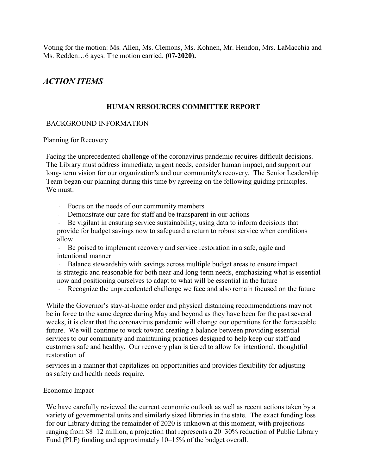Voting for the motion: Ms. Allen, Ms. Clemons, Ms. Kohnen, Mr. Hendon, Mrs. LaMacchia and Ms. Redden…6 ayes. The motion carried. **(07-2020).**

# *ACTION ITEMS*

### **HUMAN RESOURCES COMMITTEE REPORT**

### BACKGROUND INFORMATION

Planning for Recovery

Facing the unprecedented challenge of the coronavirus pandemic requires difficult decisions. The Library must address immediate, urgent needs, consider human impact, and support our long- term vision for our organization's and our community's recovery. The Senior Leadership Team began our planning during this time by agreeing on the following guiding principles. We must:

- Focus on the needs of our community members
- Demonstrate our care for staff and be transparent in our actions

 Be vigilant in ensuring service sustainability, using data to inform decisions that provide for budget savings now to safeguard a return to robust service when conditions allow

 Be poised to implement recovery and service restoration in a safe, agile and intentional manner

 Balance stewardship with savings across multiple budget areas to ensure impact is strategic and reasonable for both near and long-term needs, emphasizing what is essential now and positioning ourselves to adapt to what will be essential in the future

Recognize the unprecedented challenge we face and also remain focused on the future

While the Governor's stay-at-home order and physical distancing recommendations may not be in force to the same degree during May and beyond as they have been for the past several weeks, it is clear that the coronavirus pandemic will change our operations for the foreseeable future. We will continue to work toward creating a balance between providing essential services to our community and maintaining practices designed to help keep our staff and customers safe and healthy. Our recovery plan is tiered to allow for intentional, thoughtful restoration of

services in a manner that capitalizes on opportunities and provides flexibility for adjusting as safety and health needs require.

### Economic Impact

We have carefully reviewed the current economic outlook as well as recent actions taken by a variety of governmental units and similarly sized libraries in the state. The exact funding loss for our Library during the remainder of 2020 is unknown at this moment, with projections ranging from \$8–12 million, a projection that represents a 20–30% reduction of Public Library Fund (PLF) funding and approximately 10–15% of the budget overall.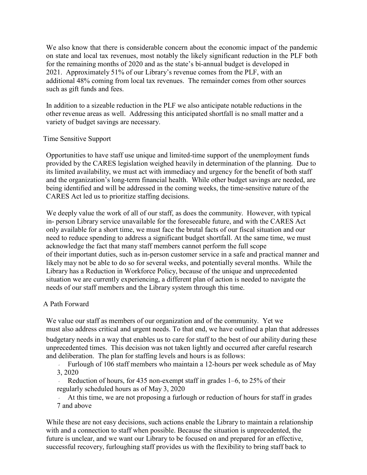We also know that there is considerable concern about the economic impact of the pandemic on state and local tax revenues, most notably the likely significant reduction in the PLF both for the remaining months of 2020 and as the state's bi-annual budget is developed in 2021. Approximately 51% of our Library's revenue comes from the PLF, with an additional 48% coming from local tax revenues. The remainder comes from other sources such as gift funds and fees.

In addition to a sizeable reduction in the PLF we also anticipate notable reductions in the other revenue areas as well. Addressing this anticipated shortfall is no small matter and a variety of budget savings are necessary.

#### Time Sensitive Support

Opportunities to have staff use unique and limited-time support of the unemployment funds provided by the CARES legislation weighed heavily in determination of the planning. Due to its limited availability, we must act with immediacy and urgency for the benefit of both staff and the organization's long-term financial health. While other budget savings are needed, are being identified and will be addressed in the coming weeks, the time-sensitive nature of the CARES Act led us to prioritize staffing decisions.

We deeply value the work of all of our staff, as does the community. However, with typical in- person Library service unavailable for the foreseeable future, and with the CARES Act only available for a short time, we must face the brutal facts of our fiscal situation and our need to reduce spending to address a significant budget shortfall. At the same time, we must acknowledge the fact that many staff members cannot perform the full scope of their important duties, such as in-person customer service in a safe and practical manner and likely may not be able to do so for several weeks, and potentially several months. While the Library has a Reduction in Workforce Policy, because of the unique and unprecedented situation we are currently experiencing, a different plan of action is needed to navigate the needs of our staff members and the Library system through this time.

### A Path Forward

We value our staff as members of our organization and of the community. Yet we must also address critical and urgent needs. To that end, we have outlined a plan that addresses

budgetary needs in a way that enables us to care for staff to the best of our ability during these unprecedented times. This decision was not taken lightly and occurred after careful research and deliberation. The plan for staffing levels and hours is as follows:

Furlough of 106 staff members who maintain a 12-hours per week schedule as of May 3, 2020

 Reduction of hours, for 435 non-exempt staff in grades 1–6, to 25% of their regularly scheduled hours as of May 3, 2020

 At this time, we are not proposing a furlough or reduction of hours for staff in grades 7 and above

While these are not easy decisions, such actions enable the Library to maintain a relationship with and a connection to staff when possible. Because the situation is unprecedented, the future is unclear, and we want our Library to be focused on and prepared for an effective, successful recovery, furloughing staff provides us with the flexibility to bring staff back to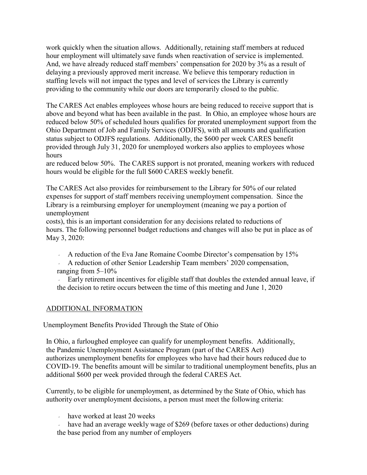work quickly when the situation allows. Additionally, retaining staff members at reduced hour employment will ultimately save funds when reactivation of service is implemented. And, we have already reduced staff members' compensation for 2020 by 3% as a result of delaying a previously approved merit increase. We believe this temporary reduction in staffing levels will not impact the types and level of services the Library is currently providing to the community while our doors are temporarily closed to the public.

The CARES Act enables employees whose hours are being reduced to receive support that is above and beyond what has been available in the past. In Ohio, an employee whose hours are reduced below 50% of scheduled hours qualifies for prorated unemployment support from the Ohio Department of Job and Family Services (ODJFS), with all amounts and qualification status subject to ODJFS regulations. Additionally, the \$600 per week CARES benefit provided through July 31, 2020 for unemployed workers also applies to employees whose hours

are reduced below 50%. The CARES support is not prorated, meaning workers with reduced hours would be eligible for the full \$600 CARES weekly benefit.

The CARES Act also provides for reimbursement to the Library for 50% of our related expenses for support of staff members receiving unemployment compensation. Since the Library is a reimbursing employer for unemployment (meaning we pay a portion of unemployment

costs), this is an important consideration for any decisions related to reductions of hours. The following personnel budget reductions and changes will also be put in place as of May 3, 2020:

A reduction of the Eva Jane Romaine Coombe Director's compensation by 15%

 A reduction of other Senior Leadership Team members' 2020 compensation, ranging from 5–10%

 Early retirement incentives for eligible staff that doubles the extended annual leave, if the decision to retire occurs between the time of this meeting and June 1, 2020

## ADDITIONAL INFORMATION

Unemployment Benefits Provided Through the State of Ohio

In Ohio, a furloughed employee can qualify for unemployment benefits. Additionally, the Pandemic Unemployment Assistance Program (part of the CARES Act) authorizes unemployment benefits for employees who have had their hours reduced due to COVID-19. The benefits amount will be similar to traditional unemployment benefits, plus an additional \$600 per week provided through the federal CARES Act.

Currently, to be eligible for unemployment, as determined by the State of Ohio, which has authority over unemployment decisions, a person must meet the following criteria:

have worked at least 20 weeks

 have had an average weekly wage of \$269 (before taxes or other deductions) during the base period from any number of employers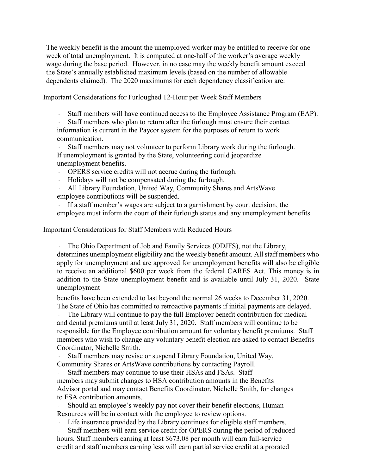The weekly benefit is the amount the unemployed worker may be entitled to receive for one week of total unemployment. It is computed at one-half of the worker's average weekly wage during the base period. However, in no case may the weekly benefit amount exceed the State's annually established maximum levels (based on the number of allowable dependents claimed). The 2020 maximums for each dependency classification are:

Important Considerations for Furloughed 12-Hour per Week Staff Members

Staff members will have continued access to the Employee Assistance Program (EAP).

 Staff members who plan to return after the furlough must ensure their contact information is current in the Paycor system for the purposes of return to work communication.

 Staff members may not volunteer to perform Library work during the furlough. If unemployment is granted by the State, volunteering could jeopardize unemployment benefits.

OPERS service credits will not accrue during the furlough.

Holidays will not be compensated during the furlough.

 All Library Foundation, United Way, Community Shares and ArtsWave employee contributions will be suspended.

If a staff member's wages are subject to a garnishment by court decision, the employee must inform the court of their furlough status and any unemployment benefits.

Important Considerations for Staff Members with Reduced Hours

 The Ohio Department of Job and Family Services (ODJFS), not the Library, determines unemployment eligibility and the weekly benefit amount. All staff members who apply for unemployment and are approved for unemployment benefits will also be eligible to receive an additional \$600 per week from the federal CARES Act. This money is in addition to the State unemployment benefit and is available until July 31, 2020. State unemployment

benefits have been extended to last beyond the normal 26 weeks to December 31, 2020. The State of Ohio has committed to retroactive payments if initial payments are delayed.

 The Library will continue to pay the full Employer benefit contribution for medical and dental premiums until at least July 31, 2020. Staff members will continue to be responsible for the Employee contribution amount for voluntary benefit premiums. Staff members who wish to change any voluntary benefit election are asked to contact Benefits Coordinator, [Nichelle](mailto:nichelle.smith@cincinnatilibrary.org) Smith.

 Staff members may revise or suspend Library Foundation, United Way, Community Shares or ArtsWave contributions by contacting [Payroll.](mailto:payroll.changes@cincinnatilibrary.org)

 Staff members may continue to use their HSAs and FSAs. Staff members may submit changes to HSA contribution amounts in the Benefits Advisor portal and may contact Benefits Coordinator, Nichelle Smith, for changes to FSA contribution amounts.

 Should an employee's weekly pay not cover their benefit elections, Human Resources will be in contact with the employee to review options.

Life insurance provided by the Library continues for eligible staff members.

 Staff members will earn service credit for OPERS during the period of reduced hours. Staff members earning at least \$673.08 per month will earn full-service credit and staff members earning less will earn partial service credit at a prorated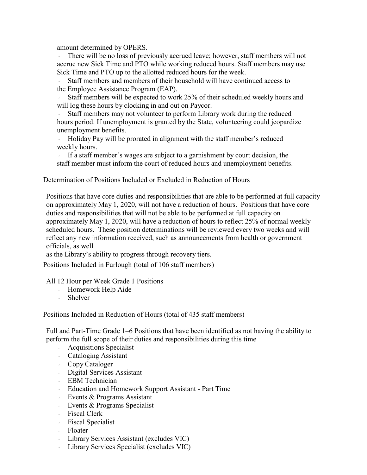amount determined by [OPERS.](https://www.opers.org/)

 There will be no loss of previously accrued leave; however, staff members will not accrue new Sick Time and PTO while working reduced hours. Staff members may use Sick Time and PTO up to the allotted reduced hours for the week.

 Staff members and members of their household will have continued access to the Employee Assistance Program (EAP).

 Staff members will be expected to work 25% of their scheduled weekly hours and will log these hours by clocking in and out on [Paycor.](https://www.paycor.com/)

 Staff members may not volunteer to perform Library work during the reduced hours period. If unemployment is granted by the State, volunteering could jeopardize unemployment benefits.

 Holiday Pay will be prorated in alignment with the staff member's reduced weekly hours.

If a staff member's wages are subject to a garnishment by court decision, the staff member must inform the court of reduced hours and unemployment benefits.

Determination of Positions Included or Excluded in Reduction of Hours

Positions that have core duties and responsibilities that are able to be performed at full capacity on approximately May 1, 2020, will not have a reduction of hours. Positions that have core duties and responsibilities that will not be able to be performed at full capacity on approximately May 1, 2020, will have a reduction of hours to reflect 25% of normal weekly scheduled hours. These position determinations will be reviewed every two weeks and will reflect any new information received, such as announcements from health or government officials, as well

as the Library's ability to progress through recovery tiers.

Positions Included in Furlough (total of 106 staff members)

#### All 12 Hour per Week Grade 1 Positions

- Homework Help Aide
- Shelver

Positions Included in Reduction of Hours (total of 435 staff members)

Full and Part-Time Grade 1–6 Positions that have been identified as not having the ability to perform the full scope of their duties and responsibilities during this time

- Acquisitions Specialist
- Cataloging Assistant
- Copy Cataloger
- Digital Services Assistant
- EBM Technician
- Education and Homework Support Assistant Part Time
- Events & Programs Assistant
- Events & Programs Specialist
- Fiscal Clerk
- Fiscal Specialist
- Floater
- Library Services Assistant (excludes VIC)
- Library Services Specialist (excludes VIC)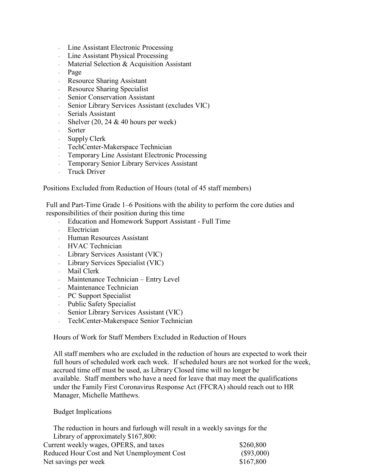- Line Assistant Electronic Processing
- Line Assistant Physical Processing
- $\blacksquare$  Material Selection & Acquisition Assistant
- Page
- Resource Sharing Assistant
- Resource Sharing Specialist
- Senior Conservation Assistant
- Senior Library Services Assistant (excludes VIC)
- Serials Assistant
- Shelver  $(20, 24 \& 40$  hours per week)
- Sorter
- $\cdot$  Supply Clerk
- TechCenter-Makerspace Technician
- Temporary Line Assistant Electronic Processing
- Temporary Senior Library Services Assistant
- **Truck Driver**

Positions Excluded from Reduction of Hours (total of 45 staff members)

Full and Part-Time Grade 1–6 Positions with the ability to perform the core duties and responsibilities of their position during this time

- Education and Homework Support Assistant Full Time
- Electrician
- Human Resources Assistant
- HVAC Technician
- Library Services Assistant (VIC)
- Library Services Specialist (VIC)
- Mail Clerk
- Maintenance Technician Entry Level
- Maintenance Technician
- PC Support Specialist
- Public Safety Specialist
- Senior Library Services Assistant (VIC)
- TechCenter-Makerspace Senior Technician

Hours of Work for Staff Members Excluded in Reduction of Hours

All staff members who are excluded in the reduction of hours are expected to work their full hours of scheduled work each week. If scheduled hours are not worked for the week, accrued time off must be used, as Library Closed time will no longer be available. Staff members who have a need for leave that may meet the qualifications under the Family First Coronavirus Response Act (FFCRA) should reach out to HR Manager, Michelle Matthews.

#### Budget Implications

The reduction in hours and furlough will result in a weekly savings for the Library of approximately \$167,800:

| Current weekly wages, OPERS, and taxes      | \$260,800<br>$(\$93,000)$ |
|---------------------------------------------|---------------------------|
| Reduced Hour Cost and Net Unemployment Cost |                           |
| Net savings per week                        | \$167,800                 |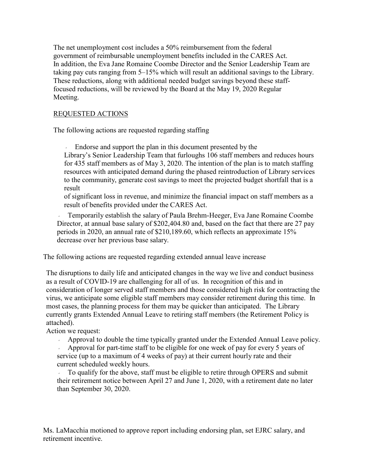The net unemployment cost includes a 50% reimbursement from the federal government of reimbursable unemployment benefits included in the CARES Act. In addition, the Eva Jane Romaine Coombe Director and the Senior Leadership Team are taking pay cuts ranging from 5–15% which will result an additional savings to the Library. These reductions, along with additional needed budget savings beyond these stafffocused reductions, will be reviewed by the Board at the May 19, 2020 Regular Meeting.

## REQUESTED ACTIONS

The following actions are requested regarding staffing

 Endorse and support the plan in this document presented by the Library's Senior Leadership Team that furloughs 106 staff members and reduces hours for 435 staff members as of May 3, 2020. The intention of the plan is to match staffing resources with anticipated demand during the phased reintroduction of Library services to the community, generate cost savings to meet the projected budget shortfall that is a result

of significant loss in revenue, and minimize the financial impact on staff members as a result of benefits provided under the CARES Act.

 Temporarily establish the salary of Paula Brehm-Heeger, Eva Jane Romaine Coombe Director, at annual base salary of \$202,404.80 and, based on the fact that there are 27 pay periods in 2020, an annual rate of \$210,189.60, which reflects an approximate 15% decrease over her previous base salary.

The following actions are requested regarding extended annual leave increase

The disruptions to daily life and anticipated changes in the way we live and conduct business as a result of COVID-19 are challenging for all of us. In recognition of this and in consideration of longer served staff members and those considered high risk for contracting the virus, we anticipate some eligible staff members may consider retirement during this time. In most cases, the planning process for them may be quicker than anticipated. The Library currently grants Extended Annual Leave to retiring staff members (the Retirement Policy is attached).

Action we request:

Approval to double the time typically granted under the Extended Annual Leave policy.

 Approval for part-time staff to be eligible for one week of pay for every 5 years of service (up to a maximum of 4 weeks of pay) at their current hourly rate and their current scheduled weekly hours.

 To qualify for the above, staff must be eligible to retire through OPERS and submit their retirement notice between April 27 and June 1, 2020, with a retirement date no later than September 30, 2020.

Ms. LaMacchia motioned to approve report including endorsing plan, set EJRC salary, and retirement incentive.